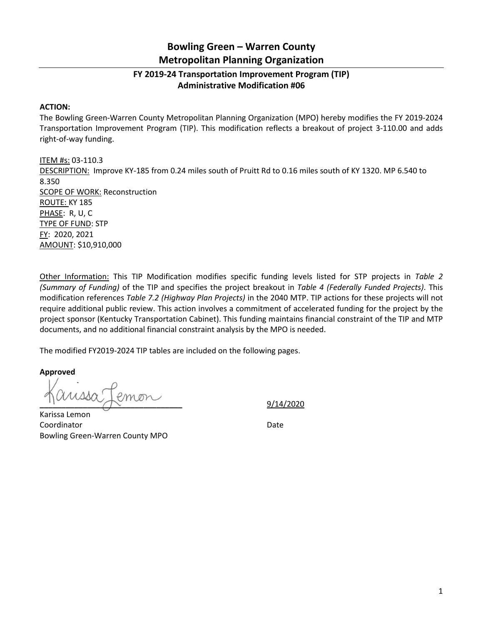## **Bowling Green – Warren County Metropolitan Planning Organization**

## **FY 2019-24 Transportation Improvement Program (TIP) Administrative Modification #06**

## **ACTION:**

The Bowling Green-Warren County Metropolitan Planning Organization (MPO) hereby modifies the FY 2019-2024 Transportation Improvement Program (TIP). This modification reflects a breakout of project 3-110.00 and adds right-of-way funding.

ITEM #s: 03-110.3 DESCRIPTION: Improve KY-185 from 0.24 miles south of Pruitt Rd to 0.16 miles south of KY 1320. MP 6.540 to 8.350 SCOPE OF WORK: Reconstruction ROUTE: KY 185 PHASE: R, U, C TYPE OF FUND: STP FY: 2020, 2021 AMOUNT: \$10,910,000

Other Information: This TIP Modification modifies specific funding levels listed for STP projects in *Table 2 (Summary of Funding)* of the TIP and specifies the project breakout in *Table 4 (Federally Funded Projects)*. This modification references *Table 7.2 (Highway Plan Projects)* in the 2040 MTP. TIP actions for these projects will not require additional public review. This action involves a commitment of accelerated funding for the project by the project sponsor (Kentucky Transportation Cabinet). This funding maintains financial constraint of the TIP and MTP documents, and no additional financial constraint analysis by the MPO is needed.

The modified FY2019-2024 TIP tables are included on the following pages.

**Approved**

**\_\_\_\_\_\_\_\_\_\_\_\_\_\_\_\_\_\_\_\_\_\_\_\_\_\_\_\_\_\_\_\_\_** 9/14/2020

Karissa Lemon Coordinator **Date** Bowling Green-Warren County MPO